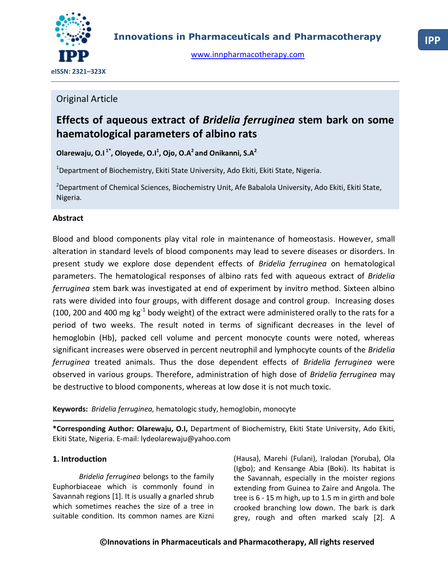

[www.innpharmacotherapy.com](http://www.innpharmacotherapy.com/)

## Original Article

# **Effects of aqueous extract of** *Bridelia ferruginea* **stem bark on some haematological parameters of albino rats**

**Olarewaju, O.I 1\*, Oloyede, O.I<sup>1</sup> , Ojo, O.A<sup>2</sup>and Onikanni, S.A<sup>2</sup>**

<sup>1</sup>Department of Biochemistry, Ekiti State University, Ado Ekiti, Ekiti State, Nigeria.

Nigeria. <sup>2</sup>Department of Chemical Sciences, Biochemistry Unit, Afe Babalola University, Ado Ekiti, Ekiti State,

## **Abstract**

Blood and blood components play vital role in maintenance of homeostasis. However, small alteration in standard levels of blood components may lead to severe diseases or disorders. In present study we explore dose dependent effects of *Bridelia ferruginea* on hematological parameters. The hematological responses of albino rats fed with aqueous extract of *Bridelia ferruginea* stem bark was investigated at end of experiment by invitro method. Sixteen albino rats were divided into four groups, with different dosage and control group. Increasing doses (100, 200 and 400 mg kg<sup>-1</sup> body weight) of the extract were administered orally to the rats for a period of two weeks. The result noted in terms of significant decreases in the level of hemoglobin (Hb), packed cell volume and percent monocyte counts were noted, whereas significant increases were observed in percent neutrophil and lymphocyte counts of the *Bridelia ferruginea* treated animals. Thus the dose dependent effects of *Bridelia ferruginea* were observed in various groups. Therefore, administration of high dose of *Bridelia ferruginea* may be destructive to blood components, whereas at low dose it is not much toxic.

**Keywords:** *Bridelia ferruginea,* hematologic study, hemoglobin, monocyte

**\*Corresponding Author: Olarewaju, O.I,** Department of Biochemistry, Ekiti State University, Ado Ekiti, Ekiti State, Nigeria. E-mail: lydeolarewaju@yahoo.com

## **1. Introduction**

*Bridelia ferruginea* belongs to the family Euphorbiaceae which is commonly found in Savannah regions [1]. It is usually a gnarled shrub which sometimes reaches the size of a tree in suitable condition. Its common names are Kizni

(Hausa), Marehi (Fulani), Iralodan (Yoruba), Ola (Igbo); and Kensange Abia (Boki). Its habitat is the Savannah, especially in the moister regions extending from Guinea to Zaire and Angola. The tree is 6 - 15 m high, up to 1.5 m in girth and bole crooked branching low down. The bark is dark grey, rough and often marked scaly [2]. A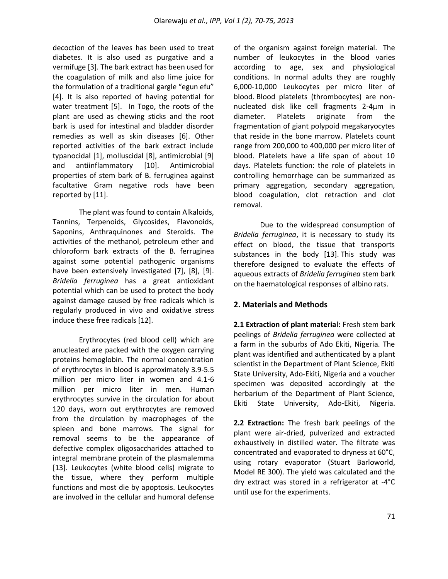decoction of the leaves has been used to treat diabetes. It is also used as purgative and a vermifuge [3]. The bark extract has been used for the coagulation of milk and also lime juice for the formulation of a traditional gargle "egun efu" [4]. It is also reported of having potential for water treatment [5]. In Togo, the roots of the plant are used as chewing sticks and the root bark is used for intestinal and bladder disorder remedies as well as skin diseases [6]. Other reported activities of the bark extract include typanocidal [1], molluscidal [8], antimicrobial [9] and antiinflammatory [10]. Antimicrobial properties of stem bark of B. ferruginea against facultative Gram negative rods have been reported by [11].

The plant was found to contain Alkaloids, Tannins, Terpenoids, Glycosides, Flavonoids, Saponins, Anthraquinones and Steroids. The activities of the methanol, petroleum ether and chloroform bark extracts of the B. ferruginea against some potential pathogenic organisms have been extensively investigated [7], [8], [9]. *Bridelia ferruginea* has a great antioxidant potential which can be used to protect the body against damage caused by free radicals which is regularly produced in vivo and oxidative stress induce these free radicals [12].

Erythrocytes (red blood cell) which are anucleated are packed with the oxygen carrying proteins hemoglobin. The normal concentration of erythrocytes in blood is approximately 3.9-5.5 million per micro liter in women and 4.1-6 million per micro liter in men. Human erythrocytes survive in the circulation for about 120 days, worn out erythrocytes are removed from the circulation by macrophages of the spleen and bone marrows. The signal for removal seems to be the appearance of defective complex oligosaccharides attached to integral membrane protein of the plasmalemma [13]. Leukocytes (white blood cells) migrate to the tissue, where they perform multiple functions and most die by apoptosis. Leukocytes are involved in the cellular and humoral defense

of the organism against foreign material. The number of leukocytes in the blood varies according to age, sex and physiological conditions. In normal adults they are roughly 6,000-10,000 Leukocytes per micro liter of blood. Blood platelets (thrombocytes) are nonnucleated disk like cell fragments 2-4μm in diameter. Platelets originate from the fragmentation of giant polypoid megakaryocytes that reside in the bone marrow. Platelets count range from 200,000 to 400,000 per micro liter of blood. Platelets have a life span of about 10 days. Platelets function: the role of platelets in controlling hemorrhage can be summarized as primary aggregation, secondary aggregation, blood coagulation, clot retraction and clot removal.

Due to the widespread consumption of *Bridelia ferruginea*, it is necessary to study its effect on blood, the tissue that transports substances in the body [13]. This study was therefore designed to evaluate the effects of aqueous extracts of *Bridelia ferruginea* stem bark on the haematological responses of albino rats.

## **2. Materials and Methods**

**2.1 Extraction of plant material:** Fresh stem bark peelings of *Bridelia ferruginea* were collected at a farm in the suburbs of Ado Ekiti, Nigeria. The plant was identified and authenticated by a plant scientist in the Department of Plant Science, Ekiti State University, Ado-Ekiti, Nigeria and a voucher specimen was deposited accordingly at the herbarium of the Department of Plant Science, Ekiti State University, Ado-Ekiti, Nigeria.

**2.2 Extraction:** The fresh bark peelings of the plant were air-dried, pulverized and extracted exhaustively in distilled water. The filtrate was concentrated and evaporated to dryness at 60°C, using rotary evaporator (Stuart Barloworld, Model RE 300). The yield was calculated and the dry extract was stored in a refrigerator at -4°C until use for the experiments.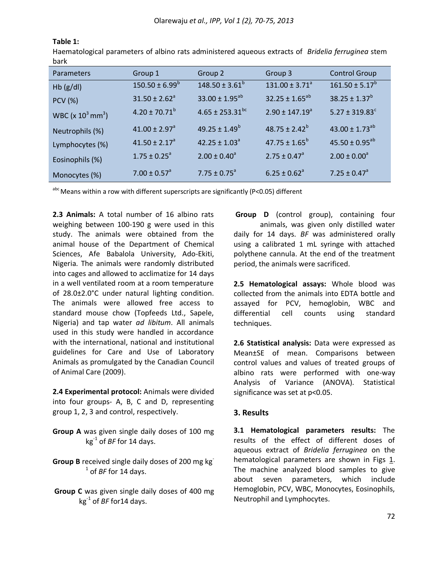| bark                             |                               |                                 |                           |                                |
|----------------------------------|-------------------------------|---------------------------------|---------------------------|--------------------------------|
| <b>Parameters</b>                | Group 1                       | Group 2                         | Group 3                   | <b>Control Group</b>           |
| $Hb$ (g/dl)                      | $150.50 \pm 6.99^b$           | $148.50 \pm 3.61^b$             | $131.00 \pm 3.71^{\circ}$ | $161.50 \pm 5.17^b$            |
| <b>PCV (%)</b>                   | $31.50 \pm 2.62^a$            | $33.00 \pm 1.95^{ab}$           | $32.25 \pm 1.65^{ab}$     | $38.25 \pm 1.37^b$             |
| WBC ( $x 10^3$ mm <sup>3</sup> ) | $4.20 \pm 70.71^b$            | $4.65 \pm 253.31$ <sup>bc</sup> | $2.90 \pm 147.19^a$       | $5.27 \pm 319.83$ <sup>c</sup> |
| Neutrophils (%)                  | $41.00 \pm 2.97$ <sup>a</sup> | $49.25 \pm 1.49^b$              | $48.75 \pm 2.42^b$        | $43.00 \pm 1.73^{ab}$          |
| Lymphocytes (%)                  | $41.50 \pm 2.17^a$            | $42.25 \pm 1.03^{\circ}$        | $47.75 \pm 1.65^b$        | $45.50 \pm 0.95^{ab}$          |
| Eosinophils (%)                  | $1.75 \pm 0.25^{\circ}$       | $2.00 \pm 0.40^a$               | $2.75 \pm 0.47^{\circ}$   | $2.00 \pm 0.00^a$              |
| Monocytes (%)                    | $7.00 \pm 0.57$ <sup>a</sup>  | $7.75 \pm 0.75^{\circ}$         | $6.25 \pm 0.62^a$         | 7.25 ± $0.47^a$                |

**Table 1:**

Haematological parameters of albino rats administered aqueous extracts of *Bridelia ferruginea* stem

abc Means within a row with different superscripts are significantly (P<0.05) different

**2.3 Animals:** A total number of 16 albino rats weighing between 100-190 g were used in this study. The animals were obtained from the animal house of the Department of Chemical Sciences, Afe Babalola University, Ado-Ekiti, Nigeria. The animals were randomly distributed into cages and allowed to acclimatize for 14 days in a well ventilated room at a room temperature of 28.0±2.0°C under natural lighting condition. The animals were allowed free access to standard mouse chow (Topfeeds Ltd., Sapele, Nigeria) and tap water *ad libitum*. All animals used in this study were handled in accordance with the international, national and institutional guidelines for Care and Use of Laboratory Animals as promulgated by the [Canadian Council](file:///C:\Documents%20and%20Settings\Administrator\Local%20Settings\Temporary%20Internet%20Files\USER\Desktop\my%20publications\hematology\OJO%20HEMA.htm%2352484_b)  [of Animal Care \(2009\).](file:///C:\Documents%20and%20Settings\Administrator\Local%20Settings\Temporary%20Internet%20Files\USER\Desktop\my%20publications\hematology\OJO%20HEMA.htm%2352484_b)

**2.4 Experimental protocol:** Animals were divided into four groups- A, B, C and D, representing group 1, 2, 3 and control, respectively.

- **Group A** was given single daily doses of 100 mg kg-1 of *BF* for 14 days.
- **Group B** received single daily doses of 200 mg kg-1 of *BF* for 14 days.
- **Group C** was given single daily doses of 400 mg kg-1 of *BF* for14 days.

**Group D** (control group), containing four animals, was given only distilled water daily for 14 days. *BF* was administered orally using a calibrated 1 mL syringe with attached polythene cannula. At the end of the treatment period, the animals were sacrificed.

**2.5 Hematological assays:** Whole blood was collected from the animals into EDTA bottle and assayed for PCV, hemoglobin, WBC and differential cell counts using standard techniques.

**2.6 Statistical analysis:** Data were expressed as Mean±SE of mean. Comparisons between control values and values of treated groups of albino rats were performed with one-way Analysis of Variance (ANOVA). Statistical significance was set at p<0.05.

### **3. Results**

**3.1 Hematological parameters results:** The results of the effect of different doses of aqueous extract of *Bridelia ferruginea* on the hematological parameters are shown in Figs  $1.$ The machine analyzed blood samples to give about seven parameters, which include Hemoglobin, PCV, WBC, Monocytes, Eosinophils, Neutrophil and Lymphocytes.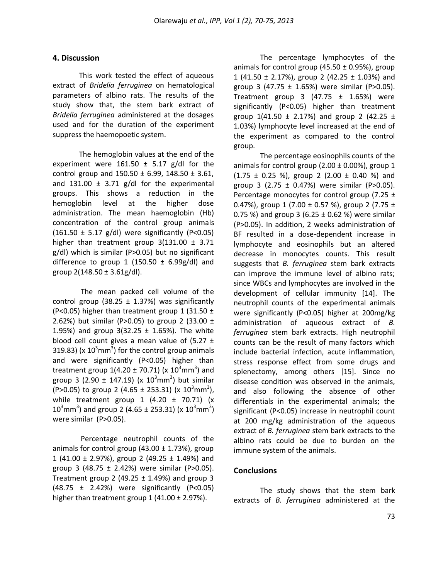#### **4. Discussion**

This work tested the effect of aqueous extract of *Bridelia ferruginea* on hematological parameters of albino rats. The results of the study show that, the stem bark extract of *Bridelia ferruginea* administered at the dosages used and for the duration of the experiment suppress the haemopoetic system.

The hemoglobin values at the end of the experiment were  $161.50 \pm 5.17$  g/dl for the control group and  $150.50 \pm 6.99$ ,  $148.50 \pm 3.61$ , and  $131.00 \pm 3.71$  g/dl for the experimental groups. This shows a reduction in the hemoglobin level at the higher dose administration. The mean haemoglobin (Hb) concentration of the control group animals (161.50  $\pm$  5.17 g/dl) were significantly (P<0.05) higher than treatment group  $3(131.00 \pm 3.71)$ g/dl) which is similar (P>0.05) but no significant difference to group 1 (150.50  $\pm$  6.99g/dl) and group  $2(148.50 \pm 3.61g/d)$ .

The mean packed cell volume of the control group (38.25  $\pm$  1.37%) was significantly (P<0.05) higher than treatment group 1 (31.50  $\pm$ 2.62%) but similar (P>0.05) to group 2 (33.00  $\pm$ 1.95%) and group  $3(32.25 \pm 1.65%)$ . The white blood cell count gives a mean value of  $(5.27 \pm$ 319.83) (x  $10^3$ mm<sup>3</sup>) for the control group animals and were significantly (P<0.05) higher than treatment group  $1(4.20 \pm 70.71)$  (x  $10^3$ mm<sup>3</sup>) and group 3 (2.90  $\pm$  147.19) (x 10<sup>3</sup>mm<sup>3</sup>) but similar (P>0.05) to group 2 (4.65  $\pm$  253.31) (x 10<sup>3</sup>mm<sup>3</sup>), while treatment group 1 (4.20  $\pm$  70.71) (x  $10^3$ mm<sup>3</sup>) and group 2 (4.65 ± 253.31) (x  $10^3$ mm<sup>3</sup>) were similar (P>0.05).

Percentage neutrophil counts of the animals for control group (43.00  $\pm$  1.73%), group 1 (41.00  $\pm$  2.97%), group 2 (49.25  $\pm$  1.49%) and group 3 (48.75  $\pm$  2.42%) were similar (P>0.05). Treatment group 2 (49.25  $\pm$  1.49%) and group 3 (48.75 ± 2.42%) were significantly (P<0.05) higher than treatment group  $1$  (41.00  $\pm$  2.97%).

The percentage lymphocytes of the animals for control group (45.50  $\pm$  0.95%), group 1 (41.50  $\pm$  2.17%), group 2 (42.25  $\pm$  1.03%) and group 3 (47.75  $\pm$  1.65%) were similar (P>0.05). Treatment group 3 (47.75  $\pm$  1.65%) were significantly (P<0.05) higher than treatment group  $1(41.50 \pm 2.17%)$  and group 2 (42.25 ± 1.03%) lymphocyte level increased at the end of the experiment as compared to the control group.

The percentage eosinophils counts of the animals for control group  $(2.00 \pm 0.00\%)$ , group 1  $(1.75 \pm 0.25 \%)$ , group 2  $(2.00 \pm 0.40 \%)$  and group 3 (2.75  $\pm$  0.47%) were similar (P>0.05). Percentage monocytes for control group (7.25 ± 0.47%), group 1 (7.00  $\pm$  0.57 %), group 2 (7.75  $\pm$ 0.75 %) and group 3 (6.25  $\pm$  0.62 %) were similar (P>0.05). In addition, 2 weeks administration of BF resulted in a dose-dependent increase in lymphocyte and eosinophils but an altered decrease in monocytes counts. This result suggests that *B. ferruginea* stem bark extracts can improve the immune level of albino rats; since WBCs and lymphocytes are involved in the development of cellular immunity [14]. The neutrophil counts of the experimental animals were significantly (P<0.05) higher at 200mg/kg administration of aqueous extract of *B. ferruginea* stem bark extracts. High neutrophil counts can be the result of many factors which include bacterial infection, acute inflammation, stress response effect from some drugs and splenectomy, among others [15]. Since no disease condition was observed in the animals, and also following the absence of other differentials in the experimental animals; the significant (P<0.05) increase in neutrophil count at 200 mg/kg administration of the aqueous extract of *B. ferruginea* stem bark extracts to the albino rats could be due to burden on the immune system of the animals.

#### **Conclusions**

The study shows that the stem bark extracts of *B. ferruginea* administered at the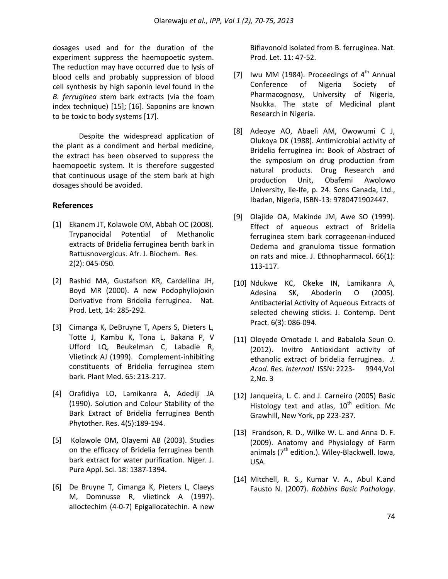dosages used and for the duration of the experiment suppress the haemopoetic system. The reduction may have occurred due to lysis of blood cells and probably suppression of blood cell synthesis by high saponin level found in the *B. ferruginea* stem bark extracts (via the foam index technique) [15]; [16]. Saponins are known to be toxic to body systems [17].

Despite the widespread application of the plant as a condiment and herbal medicine, the extract has been observed to suppress the haemopoetic system. It is therefore suggested that continuous usage of the stem bark at high dosages should be avoided.

### **References**

- [1] Ekanem JT, Kolawole OM, Abbah OC (2008). Trypanocidal Potential of Methanolic extracts of Bridelia ferruginea benth bark in Rattusnovergicus. Afr. J. Biochem. Res. 2(2): 045-050.
- [2] Rashid MA, Gustafson KR, Cardellina JH, Boyd MR (2000). A new Podophyllojoxin Derivative from Bridelia ferruginea. Nat. Prod. Lett, 14: 285-292.
- [3] Cimanga K, DeBruyne T, Apers S, Dieters L, Totte J, Kambu K, Tona L, Bakana P, V Ufford LQ, Beukelman C, Labadie R, Vlietinck AJ (1999). Complement-inhibiting constituents of Bridelia ferruginea stem bark. Plant Med. 65: 213-217.
- [4] Orafidiya LO, Lamikanra A, Adediji JA (1990). Solution and Colour Stability of the Bark Extract of Bridelia ferruginea Benth Phytother. Res. 4(5):189-194.
- [5] Kolawole OM, Olayemi AB (2003). Studies on the efficacy of Bridelia ferruginea benth bark extract for water purification. Niger. J. Pure Appl. Sci. 18: 1387-1394.
- [6] De Bruyne T, Cimanga K, Pieters L, Claeys M, Domnusse R, vlietinck A (1997). alloctechim (4-0-7) Epigallocatechin. A new

Biflavonoid isolated from B. ferruginea. Nat. Prod. Let. 11: 47-52.

- [7] Iwu MM (1984). Proceedings of  $4<sup>th</sup>$  Annual Conference of Nigeria Society of Pharmacognosy, University of Nigeria, Nsukka. The state of Medicinal plant Research in Nigeria.
- [8] Adeoye AO, Abaeli AM, Owowumi C J, Olukoya DK (1988). Antimicrobial activity of Bridelia ferruginea in: Book of Abstract of the symposium on drug production from natural products. Drug Research and production Unit, Obafemi Awolowo University, Ile-Ife, p. 24. Sons Canada, Ltd., Ibadan, Nigeria, ISBN-13: 9780471902447.
- [9] Olajide OA, Makinde JM, Awe SO (1999). Effect of aqueous extract of Bridelia ferruginea stem bark corrageenan-induced Oedema and granuloma tissue formation on rats and mice. J. Ethnopharmacol. 66(1): 113-117.
- [10] Ndukwe KC, Okeke IN, Lamikanra A, Adesina SK, Aboderin O (2005). Antibacterial Activity of Aqueous Extracts of selected chewing sticks. J. Contemp. Dent Pract. 6(3): 086-094.
- [11] Oloyede Omotade I. and Babalola Seun O. (2012). Invitro Antioxidant activity of ethanolic extract of bridelia ferruginea. *J. Acad. Res. Internatl*ISSN: 2223- 9944,Vol 2,No. 3
- [12] Janqueira, L. C. and J. Carneiro (2005) Basic Histology text and atlas,  $10^{th}$  edition. Mc Grawhill, New York, pp 223-237.
- [13] Frandson, R. D., Wilke W. L. and Anna D. F. (2009). Anatomy and Physiology of Farm animals ( $7<sup>th</sup>$  edition.). Wiley-Blackwell. Iowa, USA.
- [14] Mitchell, R. S., Kumar V. A., Abul K.and Fausto N. (2007). *Robbins Basic Pathology*.